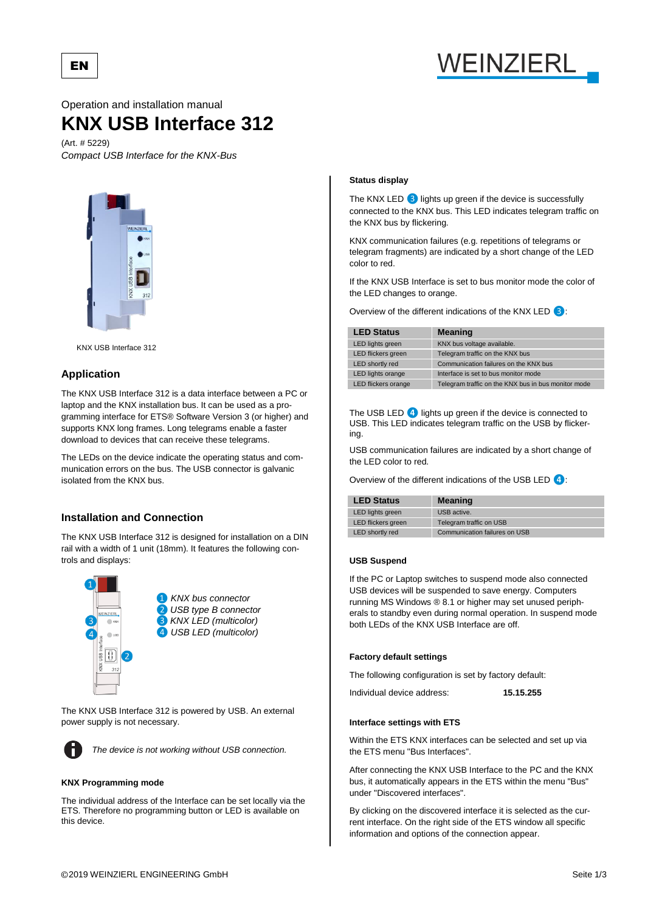

Operation and installation manual

# **KNX USB Interface 312**

(Art. # 5229) *Compact USB Interface for the KNX-Bus*



KNX USB Interface 312

# **Application**

EN

The KNX USB Interface 312 is a data interface between a PC or laptop and the KNX installation bus. It can be used as a programming interface for ETS® Software Version 3 (or higher) and supports KNX long frames. Long telegrams enable a faster download to devices that can receive these telegrams.

The LEDs on the device indicate the operating status and communication errors on the bus. The USB connector is galvanic isolated from the KNX bus.

# **Installation and Connection**

The KNX USB Interface 312 is designed for installation on a DIN rail with a width of 1 unit (18mm). It features the following controls and displays:



The KNX USB Interface 312 is powered by USB. An external power supply is not necessary.



*The device is not working without USB connection.*

## **KNX Programming mode**

The individual address of the Interface can be set locally via the ETS. Therefore no programming button or LED is available on this device.

# **Status display**

The KNX LED *❸*lights up green if the device is successfully connected to the KNX bus. This LED indicates telegram traffic on the KNX bus by flickering.

KNX communication failures (e.g. repetitions of telegrams or telegram fragments) are indicated by a short change of the LED color to red.

If the KNX USB Interface is set to bus monitor mode the color of the LED changes to orange.

Overview of the different indications of the KNX LED *❸*:

| <b>LED Status</b>         | <b>Meaning</b>                                      |
|---------------------------|-----------------------------------------------------|
| <b>LED lights green</b>   | KNX bus voltage available.                          |
| <b>LED</b> flickers green | Telegram traffic on the KNX bus                     |
| LED shortly red           | Communication failures on the KNX bus               |
| LED lights orange         | Interface is set to bus monitor mode                |
| LED flickers orange       | Telegram traffic on the KNX bus in bus monitor mode |
|                           |                                                     |

The USB LED **4** lights up green if the device is connected to USB. This LED indicates telegram traffic on the USB by flickering.

USB communication failures are indicated by a short change of the LED color to red.

Overview of the different indications of the USB LED *❹*:

| <b>LED Status</b>       | <b>Meaning</b>                |
|-------------------------|-------------------------------|
| <b>LED</b> lights green | USB active.                   |
| LED flickers green      | Telegram traffic on USB       |
| LED shortly red         | Communication failures on USB |

## **USB Suspend**

If the PC or Laptop switches to suspend mode also connected USB devices will be suspended to save energy. Computers running MS Windows ® 8.1 or higher may set unused peripherals to standby even during normal operation. In suspend mode both LEDs of the KNX USB Interface are off.

# **Factory default settings**

The following configuration is set by factory default:

Individual device address: **15.15.255**

# **Interface settings with ETS**

Within the ETS KNX interfaces can be selected and set up via the ETS menu "Bus Interfaces".

After connecting the KNX USB Interface to the PC and the KNX bus, it automatically appears in the ETS within the menu "Bus" under "Discovered interfaces".

By clicking on the discovered interface it is selected as the current interface. On the right side of the ETS window all specific information and options of the connection appear.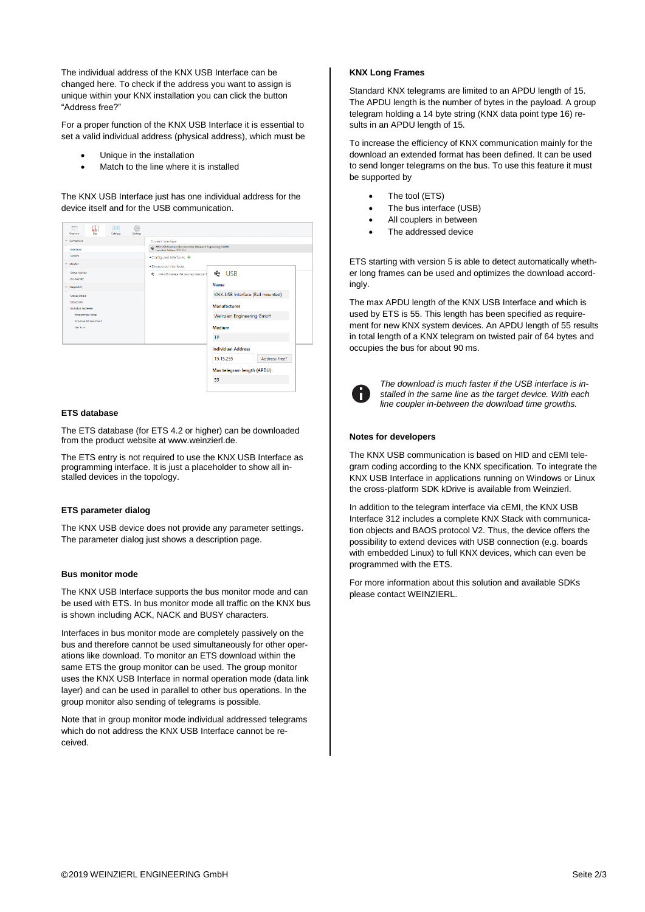The individual address of the KNX USB Interface can be changed here. To check if the address you want to assign is unique within your KNX installation you can click the button "Address free?"

For a proper function of the KNX USB Interface it is essential to set a valid individual address (physical address), which must be

- Unique in the installation
- Match to the line where it is installed

The KNX USB Interface just has one individual address for the device itself and for the USB communication.



#### **ETS database**

The ETS database (for ETS 4.2 or higher) can be downloaded from the product website at www.weinzierl.de.

The ETS entry is not required to use the KNX USB Interface as programming interface. It is just a placeholder to show all installed devices in the topology.

## **ETS parameter dialog**

The KNX USB device does not provide any parameter settings. The parameter dialog just shows a description page.

#### **Bus monitor mode**

The KNX USB Interface supports the bus monitor mode and can be used with ETS. In bus monitor mode all traffic on the KNX bus is shown including ACK, NACK and BUSY characters.

Interfaces in bus monitor mode are completely passively on the bus and therefore cannot be used simultaneously for other operations like download. To monitor an ETS download within the same ETS the group monitor can be used. The group monitor uses the KNX USB Interface in normal operation mode (data link layer) and can be used in parallel to other bus operations. In the group monitor also sending of telegrams is possible.

Note that in group monitor mode individual addressed telegrams which do not address the KNX USB Interface cannot be received.

## **KNX Long Frames**

Standard KNX telegrams are limited to an APDU length of 15. The APDU length is the number of bytes in the payload. A group telegram holding a 14 byte string (KNX data point type 16) results in an APDU length of 15.

To increase the efficiency of KNX communication mainly for the download an extended format has been defined. It can be used to send longer telegrams on the bus. To use this feature it must be supported by

- The tool (ETS)
- The bus interface (USB)
- All couplers in between
- The addressed device

ETS starting with version 5 is able to detect automatically whether long frames can be used and optimizes the download accordingly.

The max APDU length of the KNX USB Interface and which is used by ETS is 55. This length has been specified as requirement for new KNX system devices. An APDU length of 55 results in total length of a KNX telegram on twisted pair of 64 bytes and occupies the bus for about 90 ms.



*The download is much faster if the USB interface is installed in the same line as the target device. With each line coupler in-between the download time growths.*

#### **Notes for developers**

The KNX USB communication is based on HID and cEMI telegram coding according to the KNX specification. To integrate the KNX USB Interface in applications running on Windows or Linux the cross-platform SDK kDrive is available from Weinzierl.

In addition to the telegram interface via cEMI, the KNX USB Interface 312 includes a complete KNX Stack with communication objects and BAOS protocol V2. Thus, the device offers the possibility to extend devices with USB connection (e.g. boards with embedded Linux) to full KNX devices, which can even be programmed with the ETS.

For more information about this solution and available SDKs please contact WEINZIERL.